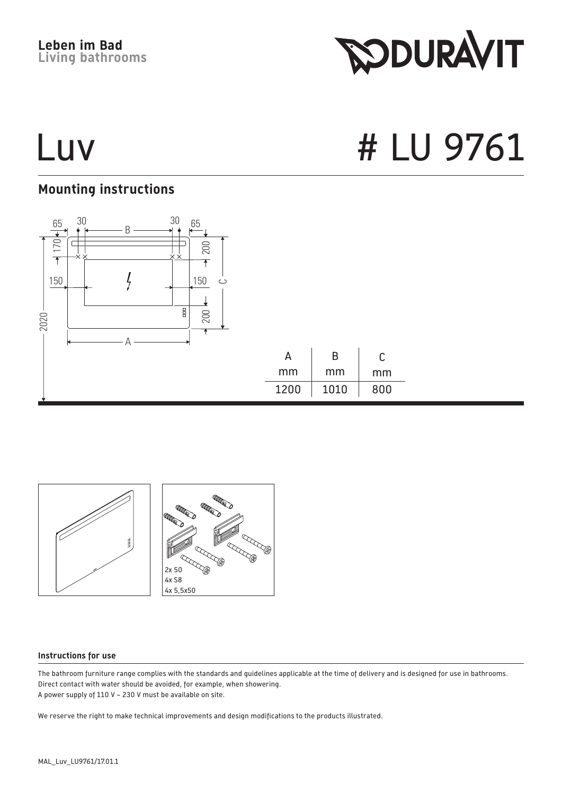**Leben im Bad Living bathrooms**

## **Mounting instructions**



**RODURAVIT** 



#### **Instructions for use**

The bathroom furniture range complies with the standards and guidelines applicable at the time of delivery and is designed for use in bathrooms. Direct contact with water should be avoided, for example, when showering. A power supply of 110 V – 230 V must be available on site.

We reserve the right to make technical improvements and design modifications to the products illustrated.

# Luv # LU 9761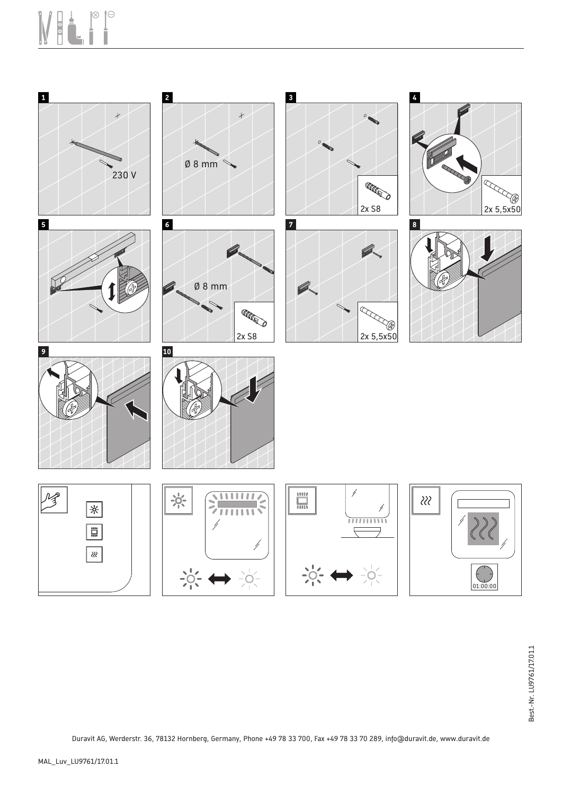## $\otimes$  $\Theta$



Duravit AG, Werderstr. 36, 78132 Hornberg, Germany, Phone +49 78 33 700, Fax +49 78 33 70 289, info@duravit.de, www.duravit.de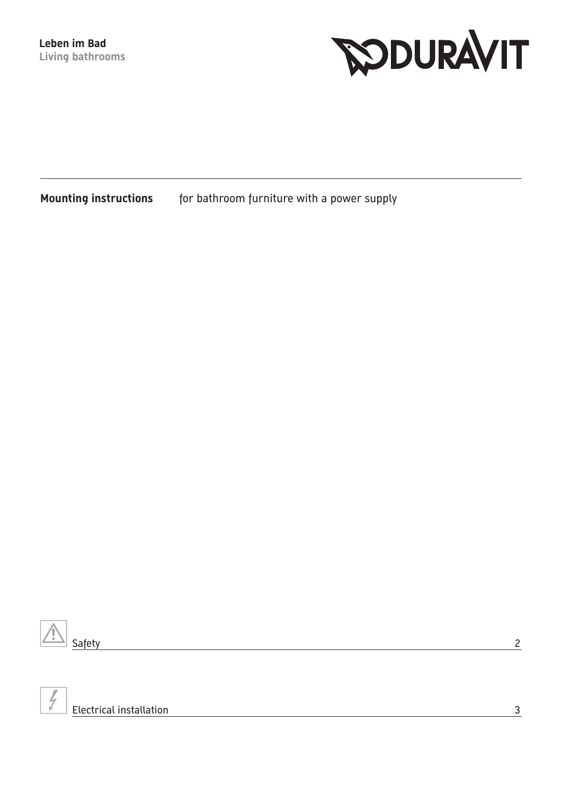

**Mounting instructions** for bathroom furniture with a power supply



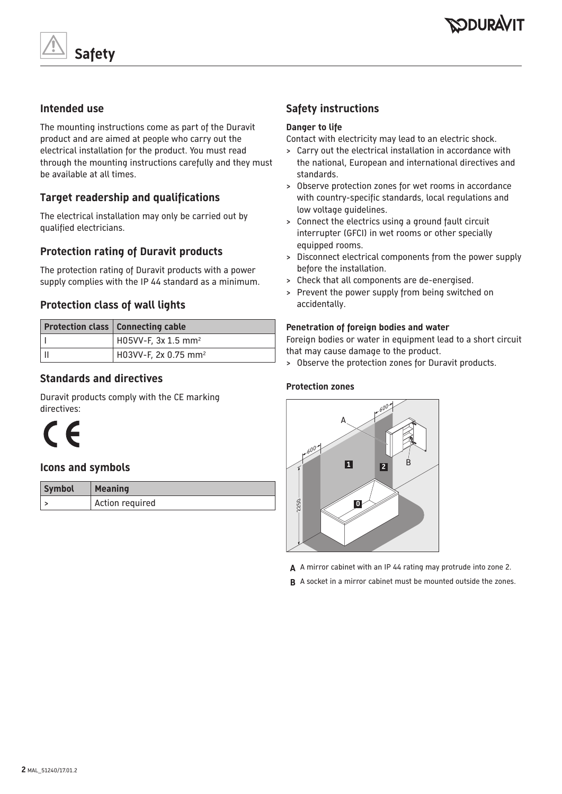



#### **Intended use**

The mounting instructions come as part of the Duravit product and are aimed at people who carry out the electrical installation for the product. You must read through the mounting instructions carefully and they must be available at all times.

### **Target readership and qualifications**

The electrical installation may only be carried out by qualified electricians.

### **Protection rating of Duravit products**

The protection rating of Duravit products with a power supply complies with the IP 44 standard as a minimum.

#### **Protection class of wall lights**

| <b>Protection class   Connecting cable</b> |
|--------------------------------------------|
| H05VV-F, 3x 1.5 mm <sup>2</sup>            |
| H03VV-F, 2x 0.75 mm <sup>2</sup>           |

#### **Standards and directives**

Duravit products comply with the CE marking directives:



#### **Icons and symbols**

| <b>Symbol</b> | Meaning         |
|---------------|-----------------|
|               | Action required |

### **Safety instructions**

#### **Danger to life**

Contact with electricity may lead to an electric shock.

- > Carry out the electrical installation in accordance with the national, European and international directives and standards.
- > Observe protection zones for wet rooms in accordance with country-specific standards, local regulations and low voltage guidelines.
- > Connect the electrics using a ground fault circuit interrupter (GFCI) in wet rooms or other specially equipped rooms.
- > Disconnect electrical components from the power supply before the installation.
- > Check that all components are de-energised.
- > Prevent the power supply from being switched on accidentally.

#### **Penetration of foreign bodies and water**

Foreign bodies or water in equipment lead to a short circuit that may cause damage to the product.

> Observe the protection zones for Duravit products.

#### **Protection zones**



- **A** A mirror cabinet with an IP 44 rating may protrude into zone 2.
- **B** A socket in a mirror cabinet must be mounted outside the zones.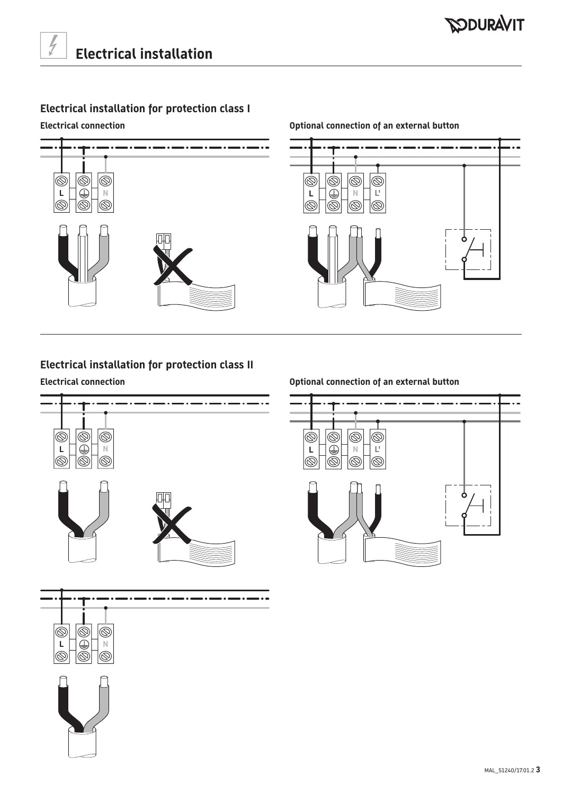## **Electrical installation for protection class I**

#### **Electrical connection Optional connection of an external button**



# $\circledcirc$  $\circledcirc$  $|\dot{\circ}$  $\circledcirc$  $\circledS$

## **Electrical installation for protection class II**



#### **Electrical connection Optional connection of an external button**